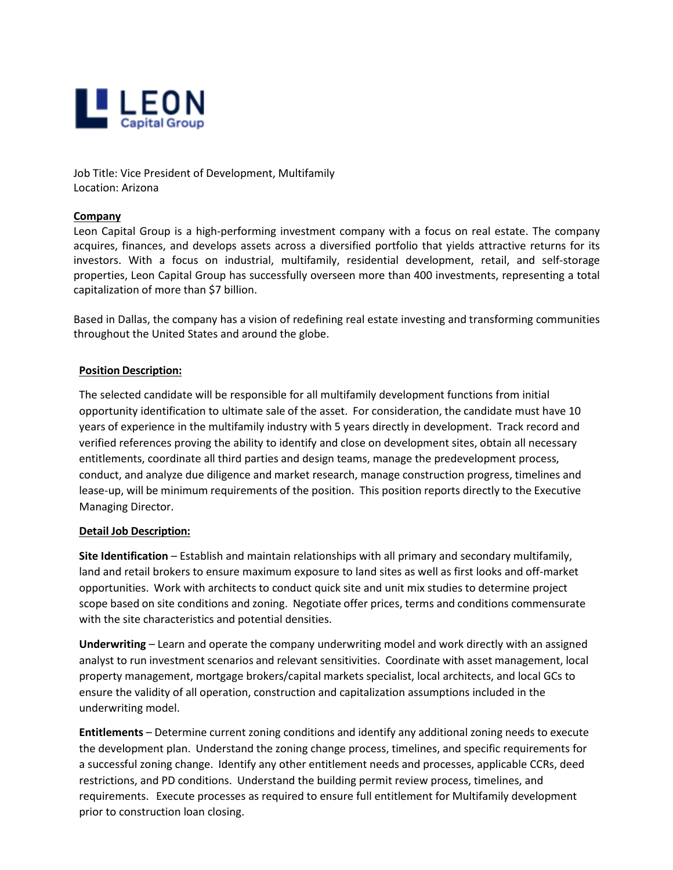

Job Title: Vice President of Development, Multifamily Location: Arizona

## **Company**

Leon Capital Group is a high-performing investment company with a focus on real estate. The company acquires, finances, and develops assets across a diversified portfolio that yields attractive returns for its investors. With a focus on industrial, multifamily, residential development, retail, and self-storage properties, Leon Capital Group has successfully overseen more than 400 investments, representing a total capitalization of more than \$7 billion.

Based in Dallas, the company has a vision of redefining real estate investing and transforming communities throughout the United States and around the globe.

## **Position Description:**

The selected candidate will be responsible for all multifamily development functions from initial opportunity identification to ultimate sale of the asset. For consideration, the candidate must have 10 years of experience in the multifamily industry with 5 years directly in development. Track record and verified references proving the ability to identify and close on development sites, obtain all necessary entitlements, coordinate all third parties and design teams, manage the predevelopment process, conduct, and analyze due diligence and market research, manage construction progress, timelines and lease-up, will be minimum requirements of the position. This position reports directly to the Executive Managing Director.

## **Detail Job Description:**

**Site Identification** – Establish and maintain relationships with all primary and secondary multifamily, land and retail brokers to ensure maximum exposure to land sites as well as first looks and off-market opportunities. Work with architects to conduct quick site and unit mix studies to determine project scope based on site conditions and zoning. Negotiate offer prices, terms and conditions commensurate with the site characteristics and potential densities.

**Underwriting** – Learn and operate the company underwriting model and work directly with an assigned analyst to run investment scenarios and relevant sensitivities. Coordinate with asset management, local property management, mortgage brokers/capital markets specialist, local architects, and local GCs to ensure the validity of all operation, construction and capitalization assumptions included in the underwriting model.

**Entitlements** – Determine current zoning conditions and identify any additional zoning needs to execute the development plan. Understand the zoning change process, timelines, and specific requirements for a successful zoning change. Identify any other entitlement needs and processes, applicable CCRs, deed restrictions, and PD conditions. Understand the building permit review process, timelines, and requirements. Execute processes as required to ensure full entitlement for Multifamily development prior to construction loan closing.